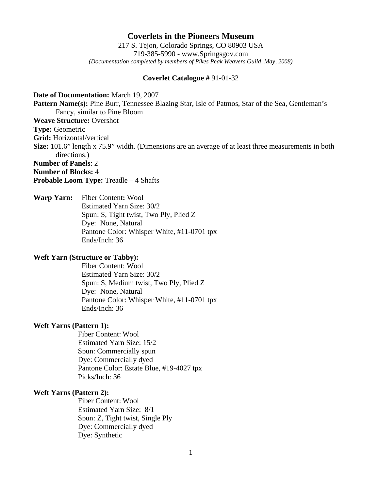# **Coverlets in the Pioneers Museum**

217 S. Tejon, Colorado Springs, CO 80903 USA 719-385-5990 - www.Springsgov.com *(Documentation completed by members of Pikes Peak Weavers Guild, May, 2008)* 

## **Coverlet Catalogue #** 91-01-32

**Date of Documentation:** March 19, 2007 **Pattern Name(s):** Pine Burr, Tennessee Blazing Star, Isle of Patmos, Star of the Sea, Gentleman's Fancy, similar to Pine Bloom **Weave Structure:** Overshot **Type:** Geometric **Grid:** Horizontal/vertical **Size:** 101.6" length x 75.9" width. (Dimensions are an average of at least three measurements in both directions.) **Number of Panels**: 2 **Number of Blocks:** 4 **Probable Loom Type:** Treadle – 4 Shafts

**Warp Yarn:** Fiber Content**:** Wool Estimated Yarn Size: 30/2 Spun: S, Tight twist, Two Ply, Plied Z Dye: None, Natural Pantone Color: Whisper White, #11-0701 tpx Ends/Inch: 36

## **Weft Yarn (Structure or Tabby):**

 Fiber Content: Wool Estimated Yarn Size: 30/2 Spun: S, Medium twist, Two Ply, Plied Z Dye: None, Natural Pantone Color: Whisper White, #11-0701 tpx Ends/Inch: 36

## **Weft Yarns (Pattern 1):**

 Fiber Content: Wool Estimated Yarn Size: 15/2 Spun: Commercially spun Dye: Commercially dyed Pantone Color: Estate Blue, #19-4027 tpx Picks/Inch: 36

# **Weft Yarns (Pattern 2):**

 Fiber Content: Wool Estimated Yarn Size: 8/1 Spun: Z, Tight twist, Single Ply Dye: Commercially dyed Dye: Synthetic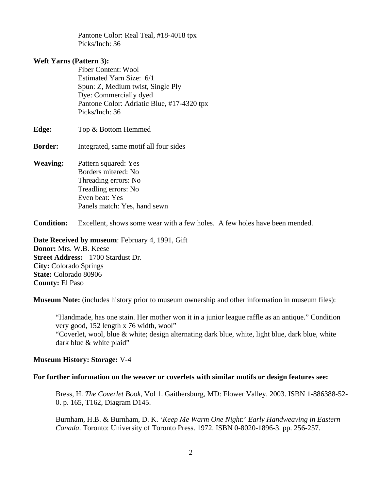Pantone Color: Real Teal, #18-4018 tpx Picks/Inch: 36

# **Weft Yarns (Pattern 3):**

 Fiber Content: Wool Estimated Yarn Size: 6/1 Spun: Z, Medium twist, Single Ply Dye: Commercially dyed Pantone Color: Adriatic Blue, #17-4320 tpx Picks/Inch: 36

**Edge:** Top & Bottom Hemmed

- **Border:** Integrated, same motif all four sides
- **Weaving:** Pattern squared: Yes Borders mitered: No Threading errors: No Treadling errors: No Even beat: Yes Panels match: Yes, hand sewn

**Condition:** Excellent, shows some wear with a few holes. A few holes have been mended.

**Date Received by museum:** February 4, 1991, Gift **Donor:** Mrs. W.B. Keese **Street Address:** 1700 Stardust Dr. **City:** Colorado Springs **State:** Colorado 80906 **County:** El Paso

**Museum Note:** (includes history prior to museum ownership and other information in museum files):

 "Handmade, has one stain. Her mother won it in a junior league raffle as an antique." Condition very good, 152 length x 76 width, wool" "Coverlet, wool, blue & white; design alternating dark blue, white, light blue, dark blue, white dark blue & white plaid"

### **Museum History: Storage:** V-4

#### **For further information on the weaver or coverlets with similar motifs or design features see:**

 Bress, H. *The Coverlet Book*, Vol 1. Gaithersburg, MD: Flower Valley. 2003. ISBN 1-886388-52- 0. p. 165, T162, Diagram D145.

 Burnham, H.B. & Burnham, D. K. '*Keep Me Warm One Night*:' *Early Handweaving in Eastern Canada*. Toronto: University of Toronto Press. 1972. ISBN 0-8020-1896-3. pp. 256-257.